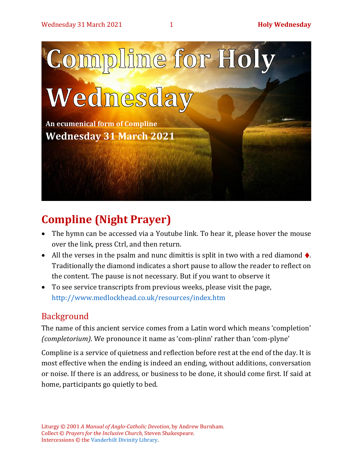

# **Compline (Night Prayer)**

- The hymn can be accessed via a Youtube link. To hear it, please hover the mouse over the link, press Ctrl, and then return.
- All the verses in the psalm and nunc dimittis is split in two with a red diamond  $\blacklozenge$ . Traditionally the diamond indicates a short pause to allow the reader to reflect on the content. The pause is not necessary. But if you want to observe it
- To see service transcripts from previous weeks, please visit the page, <http://www.medlockhead.co.uk/resources/index.htm>

### Background

The name of this ancient service comes from a Latin word which means 'completion' *(completorium)*. We pronounce it name as 'com-plinn' rather than 'com-plyne'

Compline is a service of quietness and reflection before rest at the end of the day. It is most effective when the ending is indeed an ending, without additions, conversation or noise. If there is an address, or business to be done, it should come first. If said at home, participants go quietly to bed.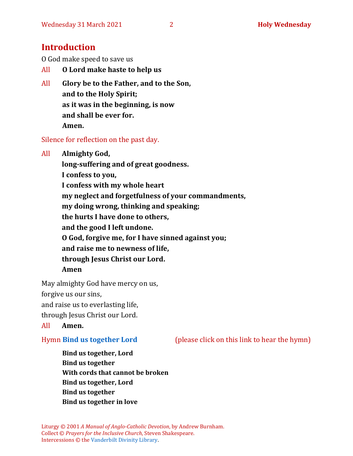### **Introduction**

O God make speed to save us

- All **O Lord make haste to help us**
- All **Glory be to the Father, and to the Son, and to the Holy Spirit; as it was in the beginning, is now and shall be ever for. Amen.**

Silence for reflection on the past day.

All **Almighty God,**

**long-suffering and of great goodness. I confess to you,** 

**I confess with my whole heart my neglect and forgetfulness of your commandments, my doing wrong, thinking and speaking; the hurts I have done to others, and the good I left undone.**

**O God, forgive me, for I have sinned against you;**

**and raise me to newness of life,** 

**through Jesus Christ our Lord.** 

**Amen**

May almighty God have mercy on us,

forgive us our sins,

and raise us to everlasting life,

through Jesus Christ our Lord.

All **Amen.**

Hymn **[Bind us together Lord](https://www.youtube.com/watch?v=wRwfTS_Ne0o)** (please click on this link to hear the hymn)

**Bind us together, Lord Bind us together With cords that cannot be broken Bind us together, Lord Bind us together Bind us together in love**

Liturgy © 2001 *A Manual of Anglo-Catholic Devotion*, by Andrew Burnham. Collect © *Prayers for the Inclusive Church*, Steven Shakespeare. Intercessions © the [Vanderbilt Divinity Library.](http://divinity.library.vanderbilt.edu/)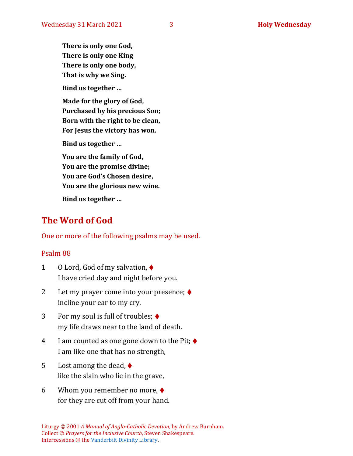**There is only one God, There is only one King There is only one body, That is why we Sing.**

**Bind us together …**

**Made for the glory of God, Purchased by his precious Son; Born with the right to be clean, For Jesus the victory has won.**

**Bind us together …**

**You are the family of God, You are the promise divine; You are God's Chosen desire, You are the glorious new wine.**

**Bind us together …**

### **The Word of God**

One or more of the following psalms may be used.

#### Psalm 88

- 1 O Lord, God of my salvation, ♦ I have cried day and night before you.
- 2 Let my prayer come into your presence; ♦ incline your ear to my cry.
- 3 For my soul is full of troubles; ♦ my life draws near to the land of death.
- 4 I am counted as one gone down to the Pit;  $\triangleleft$ I am like one that has no strength,
- 5 Lost among the dead,  $\blacklozenge$ like the slain who lie in the grave,
- 6 Whom you remember no more, ♦ for they are cut off from your hand.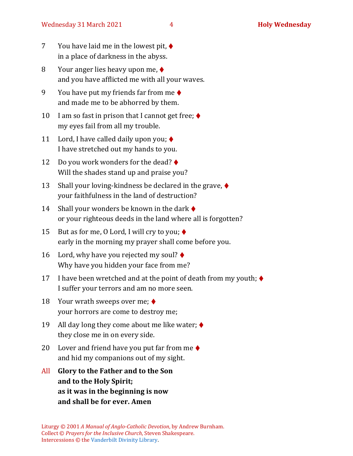- 7 You have laid me in the lowest pit, ♦ in a place of darkness in the abyss.
- 8 Your anger lies heavy upon me, ♦ and you have afflicted me with all your waves.
- 9 You have put my friends far from me  $\blacklozenge$ and made me to be abhorred by them.
- 10 I am so fast in prison that I cannot get free;  $\blacklozenge$ my eyes fail from all my trouble.
- 11 Lord, I have called daily upon you;  $\blacklozenge$ I have stretched out my hands to you.
- 12 Do you work wonders for the dead? ♦ Will the shades stand up and praise you?
- 13 Shall your loving-kindness be declared in the grave,  $\blacklozenge$ your faithfulness in the land of destruction?
- 14 Shall your wonders be known in the dark  $\blacklozenge$ or your righteous deeds in the land where all is forgotten?
- 15 But as for me, 0 Lord, I will cry to you;  $\blacklozenge$ early in the morning my prayer shall come before you.
- 16 Lord, why have you rejected my soul? ♦ Why have you hidden your face from me?
- 17 I have been wretched and at the point of death from my youth;  $\blacklozenge$ I suffer your terrors and am no more seen.
- 18 Your wrath sweeps over me; ♦ your horrors are come to destroy me;
- 19 All day long they come about me like water;  $\blacklozenge$ they close me in on every side.
- 20 Lover and friend have you put far from me  $\triangle$ and hid my companions out of my sight.
- All **Glory to the Father and to the Son and to the Holy Spirit; as it was in the beginning is now and shall be for ever. Amen**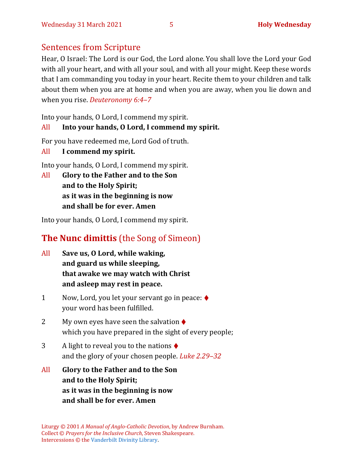### Sentences from Scripture

Hear, O Israel: The Lord is our God, the Lord alone. You shall love the Lord your God with all your heart, and with all your soul, and with all your might. Keep these words that I am commanding you today in your heart. Recite them to your children and talk about them when you are at home and when you are away, when you lie down and when you rise. *Deuteronomy 6:4–7*

Into your hands, O Lord, I commend my spirit.

### All **Into your hands, O Lord, I commend my spirit.**

For you have redeemed me, Lord God of truth.

All **I commend my spirit.**

Into your hands, O Lord, I commend my spirit.

All **Glory to the Father and to the Son and to the Holy Spirit; as it was in the beginning is now and shall be for ever. Amen**

Into your hands, O Lord, I commend my spirit.

# **The Nunc dimittis** (the Song of Simeon)

- All **Save us, O Lord, while waking, and guard us while sleeping, that awake we may watch with Christ and asleep may rest in peace.**
- 1 Now, Lord, you let your servant go in peace: ♦ your word has been fulfilled.
- 2 My own eyes have seen the salvation  $\triangle$ which you have prepared in the sight of every people;
- 3 A light to reveal you to the nations  $\triangle$ and the glory of your chosen people. *Luke 2.29–32*
- All **Glory to the Father and to the Son and to the Holy Spirit; as it was in the beginning is now and shall be for ever. Amen**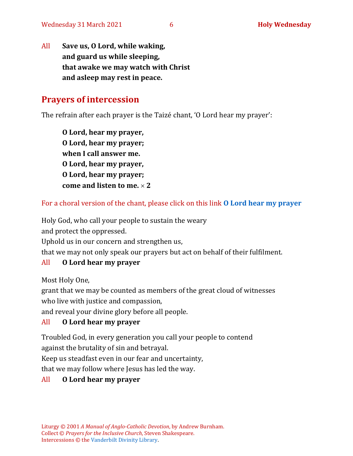All **Save us, O Lord, while waking, and guard us while sleeping, that awake we may watch with Christ and asleep may rest in peace.**

### **Prayers of intercession**

The refrain after each prayer is the Taizé chant, 'O Lord hear my prayer':

**O Lord, hear my prayer, O Lord, hear my prayer; when I call answer me. O Lord, hear my prayer, O Lord, hear my prayer; come and listen to me. 2**

For a choral version of the chant, please click on this link **[O Lord hear my prayer](https://www.youtube.com/watch?v=f51n-yb11dY)**

Holy God, who call your people to sustain the weary

and protect the oppressed.

Uphold us in our concern and strengthen us,

that we may not only speak our prayers but act on behalf of their fulfilment.

#### All **[O Lord hear my prayer](https://www.youtube.com/watch?v=f51n-yb11dY)**

Most Holy One,

grant that we may be counted as members of the great cloud of witnesses who live with justice and compassion,

and reveal your divine glory before all people.

#### All **[O Lord hear my prayer](https://www.youtube.com/watch?v=f51n-yb11dY)**

Troubled God, in every generation you call your people to contend against the brutality of sin and betrayal.

Keep us steadfast even in our fear and uncertainty,

that we may follow where Jesus has led the way.

#### All **[O Lord hear my prayer](https://www.youtube.com/watch?v=f51n-yb11dY)**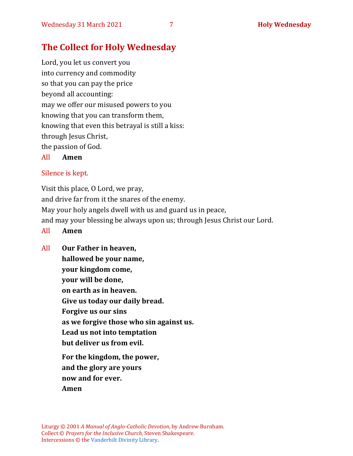## **The Collect for Holy Wednesday**

Lord, you let us convert you into currency and commodity so that you can pay the price beyond all accounting: may we offer our misused powers to you knowing that you can transform them, knowing that even this betrayal is still a kiss: through Jesus Christ, the passion of God.

All **Amen**

#### Silence is kept.

Visit this place, O Lord, we pray, and drive far from it the snares of the enemy. May your holy angels dwell with us and guard us in peace, and may your blessing be always upon us; through Jesus Christ our Lord.

- All **Amen**
- All **Our Father in heaven, hallowed be your name, your kingdom come, your will be done, on earth as in heaven. Give us today our daily bread. Forgive us our sins as we forgive those who sin against us. Lead us not into temptation but deliver us from evil. For the kingdom, the power, and the glory are yours now and for ever.**

**Amen**